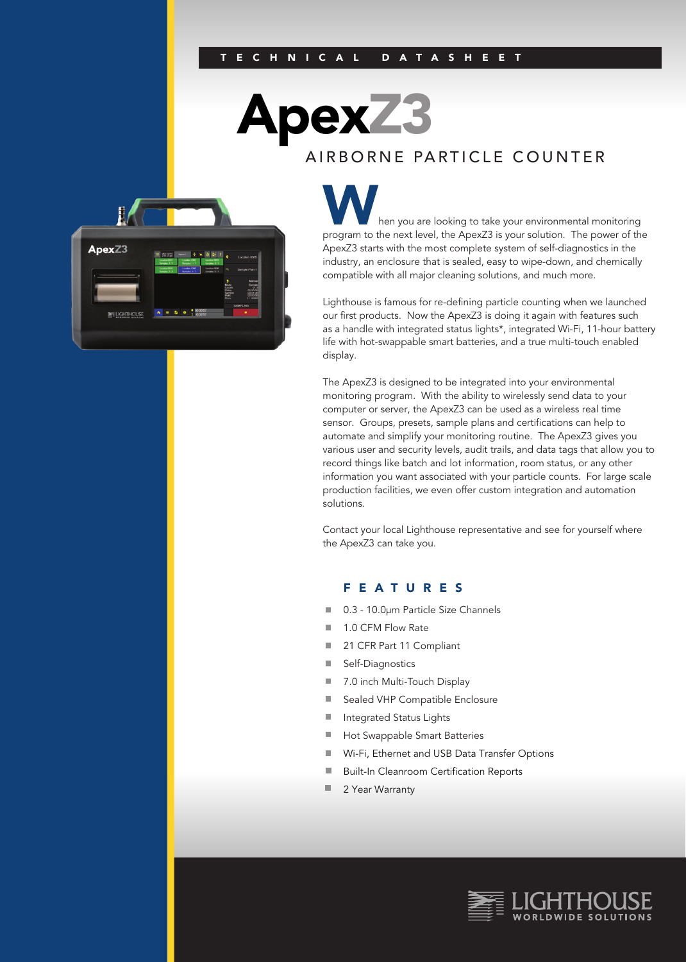#### E CHNICAL DATASHEET

pexZ3

## AIRBORNE PARTICLE COUNTER



hen you are looking to take your environmental monitoring program to the next level, the ApexZ3 is your solution. The power of the ApexZ3 starts with the most complete system of self-diagnostics in the industry, an enclosure that is sealed, easy to wipe-down, and chemically compatible with all major cleaning solutions, and much more.

Lighthouse is famous for re-defining particle counting when we launched our first products. Now the ApexZ3 is doing it again with features such as a handle with integrated status lights\*, integrated Wi-Fi, 11-hour battery life with hot-swappable smart batteries, and a true multi-touch enabled display.

The ApexZ3 is designed to be integrated into your environmental monitoring program. With the ability to wirelessly send data to your computer or server, the ApexZ3 can be used as a wireless real time sensor. Groups, presets, sample plans and certifications can help to automate and simplify your monitoring routine. The ApexZ3 gives you various user and security levels, audit trails, and data tags that allow you to record things like batch and lot information, room status, or any other information you want associated with your particle counts. For large scale production facilities, we even offer custom integration and automation solutions.

Contact your local Lighthouse representative and see for yourself where the ApexZ3 can take you.

### FEATURES

- 0.3 10.0µm Particle Size Channels  $\mathbb{R}^n$
- 1.0 CFM Flow Rate  $\Box$
- 21 CFR Part 11 Compliant  $\blacksquare$
- ш Self-Diagnostics
- 7.0 inch Multi-Touch Display п
- $\overline{\phantom{a}}$ Sealed VHP Compatible Enclosure
- m. Integrated Status Lights
- $\blacksquare$ Hot Swappable Smart Batteries
- $\blacksquare$ Wi-Fi, Ethernet and USB Data Transfer Options
- $\blacksquare$ Built-In Cleanroom Certification Reports
- ш 2 Year Warranty